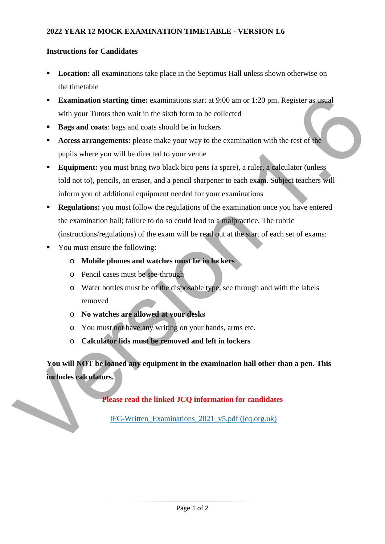## **Instructions for Candidates**

- **Location:** all examinations take place in the Septimus Hall unless shown otherwise on the timetable
- **Examination starting time:** examinations start at 9:00 am or 1:20 pm. Register as usual with your Tutors then wait in the sixth form to be collected
- **Bags and coats**: bags and coats should be in lockers
- **Access arrangements:** please make your way to the examination with the rest of the pupils where you will be directed to your venue
- **Equipment:** you must bring two black biro pens (a spare), a ruler, a calculator (unless told not to), pencils, an eraser, and a pencil sharpener to each exam. Subject teachers will inform you of additional equipment needed for your examinations **Examination starting time:** examinations start at 9:00 am or 1:20 pm. Register as usual<br>with your Tutons them wait in the sixth form to be collected<br>**Hages and coats**: bags and coats should be in lockers<br>Access arrangeme
	- **Regulations:** you must follow the regulations of the examination once you have entered the examination hall; failure to do so could lead to a malpractice. The rubric (instructions/regulations) of the exam will be read out at the start of each set of exams:
	- You must ensure the following:
		- o **Mobile phones and watches must be in lockers**
		- o Pencil cases must be see-through
		- o Water bottles must be of the disposable type, see through and with the labels removed
		- o **No watches are allowed at your desks**
		- o You must not have any writing on your hands, arms etc.
		- o **Calculator lids must be removed and left in lockers**

**You will NOT be loaned any equipment in the examination hall other than a pen. This includes calculators.** 

**Please read the linked JCQ information for candidates** 

IFC-Written\_Examinations\_2021\_v5.pdf (jcq.org.uk)